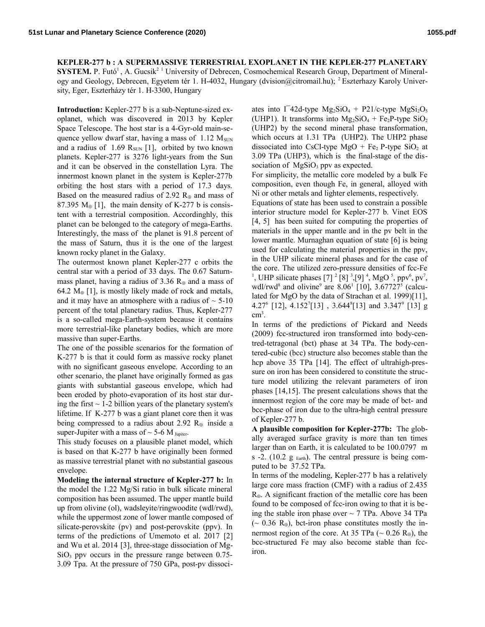**KEPLER-277 b : A SUPERMASSIVE TERRESTRIAL EXOPLANET IN THE KEPLER-277 PLANETARY SYSTEM.** P. Futó<sup>1</sup>, A. Gucsik<sup>2 1</sup> University of Debrecen, Cosmochemical Research Group, Department of Mineralogy and Geology, Debrecen, Egyetem tér 1. H-4032, Hungary (dvision@citromail.hu); 2 Eszterhazy Karoly University, Eger, Eszterházy tér 1. H-3300, Hungary

**Introduction:** Kepler-277 b is a sub-Neptune-sized exoplanet, which was discovered in 2013 by Kepler Space Telescope. The host star is a 4-Gyr-old main-sequence yellow dwarf star, having a mass of  $1.12 \text{ M}_{\text{SUN}}$ and a radius of  $1.69$  R<sub>SUN</sub> [1], orbited by two known planets. Kepler-277 is 3276 light-years from the Sun and it can be observed in the constellation Lyra. The innermost known planet in the system is Kepler-277b orbiting the host stars with a period of 17.3 days. Based on the measured radius of 2.92  $R_{\oplus}$  and mass of 87.395  $M_{\oplus}$  [1], the main density of K-277 b is consistent with a terrestrial composition. Accordinghly, this planet can be belonged to the category of mega-Earths. Interestingly, the mass of the planet is 91.8 percent of the mass of Saturn, thus it is the one of the largest known rocky planet in the Galaxy.

The outermost known planet Kepler-277 c orbits the central star with a period of 33 days. The 0.67 Saturnmass planet, having a radius of 3.36  $R_{\oplus}$  and a mass of 64.2  $M_{\oplus}$  [1], is mostly likely made of rock and metals, and it may have an atmosphere with a radius of  $\sim$  5-10 percent of the total planetary radius. Thus, Kepler-277 is a so-called mega-Earth-system because it contains more terrestrial-like planetary bodies, which are more massive than super-Earths.

The one of the possible scenarios for the formation of K-277 b is that it could form as massive rocky planet with no significant gaseous envelope. According to an other scenario, the planet have originally formed as gas giants with substantial gaseous envelope, which had been eroded by photo-evaporation of its host star during the first  $\sim$  1-2 billion years of the planetary system's lifetime. If K-277 b was a giant planet core then it was being compressed to a radius about 2.92  $R_{\oplus}$  inside a super-Jupiter with a mass of  $\sim$  5-6 M Jupiter.

This study focuses on a plausible planet model, which is based on that K-277 b have originally been formed as massive terrestrial planet with no substantial gaseous envelope.

**Modeling the internal structure of Kepler-277 b:** In the model the 1.22 Mg/Si ratio in bulk silicate mineral composition has been assumed. The upper mantle build up from olivine (ol), wadsleyite/ringwoodite (wdl/rwd), while the uppermost zone of lower mantle composed of silicate-perovskite (pv) and post-perovskite (ppv). In terms of the predictions of Umemoto et al. 2017 [2] and Wu et al. 2014 [3], three-stage dissociation of Mg- $SiO<sub>3</sub>$  ppv occurs in the pressure range between 0.75-3.09 Tpa. At the pressure of 750 GPa, post-pv dissoci-

ates into  $\Gamma$  42d-type Mg<sub>2</sub>SiO<sub>4</sub> + P21/c-type MgSi<sub>2</sub>O<sub>5</sub> (UHP1). It transforms into  $Mg_2SiO_4 + Fe_2P$ -type  $SiO_2$ (UHP2) by the second mineral phase transformation, which occurs at 1.31 TPa (UHP2). The UHP2 phase dissociated into CsCl-type MgO + Fe<sub>2</sub> P-type SiO<sub>2</sub> at 3.09 TPa (UHP3), which is the final-stage of the dissociation of  $MgSiO<sub>3</sub>$  ppv as expected.

For simplicity, the metallic core modeled by a bulk Fe composition, even though Fe, in general, alloyed with Ni or other metals and lighter elements, respectively.

Equations of state has been used to constrain a possible interior structure model for Kepler-277 b. Vinet EOS [4, 5] has been suited for computing the properties of materials in the upper mantle and in the pv belt in the lower mantle. Murnaghan equation of state [6] is being used for calculating the material properties in the ppv, in the UHP silicate mineral phases and for the case of the core. The utilized zero-pressure densities of fcc-Fe <sup>1</sup>, UHP silicate phases [7] <sup>2</sup> [8] <sup>3</sup>, [9] <sup>4</sup>, MgO <sup>5</sup>, ppv<sup>6</sup>, pv<sup>7</sup>, wdl/rwd<sup>8</sup> and olivine<sup>9</sup> are 8.06<sup>1</sup> [10], 3.67727<sup>5</sup> (calculated for MgO by the data of Strachan et al. 1999)[11],  $4.27<sup>6</sup>$  [12],  $4.152<sup>7</sup>$ [13],  $3.644<sup>8</sup>$ [13] and  $3.347<sup>9</sup>$  [13] g  $\text{cm}^3$ .

In terms of the predictions of Pickard and Needs (2009) fcc-structured iron transformed into body-centred-tetragonal (bct) phase at 34 TPa. The body-centered-cubic (bcc) structure also becomes stable than the hcp above 35 TPa [14]. The effect of ultrahigh-pressure on iron has been considered to constitute the structure model utilizing the relevant parameters of iron phases [14,15]. The present calculations shows that the innermost region of the core may be made of bct- and bcc-phase of iron due to the ultra-high central pressure of Kepler-277 b.

**A plausible composition for Kepler-277b:** The globally averaged surface gravity is more than ten times larger than on Earth, it is calculated to be 100.0797 m s -2. (10.2  $g_{Earth}$ ). The central pressure is being computed to be 37.52 TPa.

In terms of the modeling, Kepler-277 b has a relatively large core mass fraction (CMF) with a radius of 2.435  $R_{\oplus}$ . A significant fraction of the metallic core has been found to be composed of fcc-iron owing to that it is being the stable iron phase over  $\sim$  7 TPa. Above 34 TPa  $({\sim} 0.36 \text{ R}_{\oplus})$ , bct-iron phase constitutes mostly the innermost region of the core. At 35 TPa ( $\sim$  0.26 R<sub>⊕</sub>), the bcc-structured Fe may also become stable than fcciron.